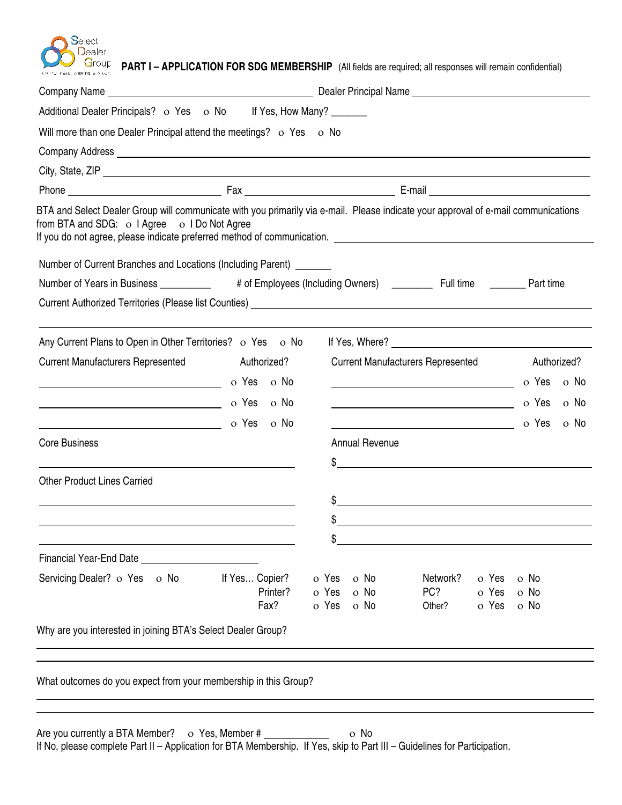# Select  $\mathsf{D}_\mathsf{e}$ aler ess, dieating a vact.

**G**roup **PART I – APPLICATION FOR SDG MEMBERSHIP** (All fields are required; all responses will remain confidential)

| Additional Dealer Principals? o Yes o No If Yes, How Many? ______                                                                                                                                                                                                                                    |                  |                                          |                                                   |                |              |  |
|------------------------------------------------------------------------------------------------------------------------------------------------------------------------------------------------------------------------------------------------------------------------------------------------------|------------------|------------------------------------------|---------------------------------------------------|----------------|--------------|--|
| Will more than one Dealer Principal attend the meetings? o Yes o No                                                                                                                                                                                                                                  |                  |                                          |                                                   |                |              |  |
|                                                                                                                                                                                                                                                                                                      |                  |                                          |                                                   |                |              |  |
|                                                                                                                                                                                                                                                                                                      |                  |                                          |                                                   |                |              |  |
|                                                                                                                                                                                                                                                                                                      |                  |                                          |                                                   |                |              |  |
| BTA and Select Dealer Group will communicate with you primarily via e-mail. Please indicate your approval of e-mail communications<br>from BTA and SDG: o I Agree o I Do Not Agree<br>If you do not agree, please indicate preferred method of communication. [198] [198] [198] [198] [198] [198] [1 |                  |                                          |                                                   |                |              |  |
| Number of Current Branches and Locations (Including Parent) ______                                                                                                                                                                                                                                   |                  |                                          |                                                   |                |              |  |
| Number of Years in Business ___________ # of Employees (Including Owners) ________ Full time _______ Part time                                                                                                                                                                                       |                  |                                          |                                                   |                |              |  |
|                                                                                                                                                                                                                                                                                                      |                  |                                          |                                                   |                |              |  |
|                                                                                                                                                                                                                                                                                                      |                  |                                          |                                                   |                |              |  |
| Any Current Plans to Open in Other Territories? o Yes o No                                                                                                                                                                                                                                           |                  |                                          |                                                   |                |              |  |
| Current Manufacturers Represented Authorized?                                                                                                                                                                                                                                                        |                  | <b>Current Manufacturers Represented</b> |                                                   |                | Authorized?  |  |
|                                                                                                                                                                                                                                                                                                      |                  |                                          | <u> 1980 - Johann Barbara, martxa alemaniar a</u> |                | o Yes o No   |  |
|                                                                                                                                                                                                                                                                                                      | o Yes o No       |                                          |                                                   |                | o Yes o No   |  |
|                                                                                                                                                                                                                                                                                                      | o Yes o No       |                                          |                                                   |                | o Yes o No   |  |
| <b>Core Business</b>                                                                                                                                                                                                                                                                                 |                  | <b>Annual Revenue</b>                    |                                                   |                |              |  |
|                                                                                                                                                                                                                                                                                                      |                  | $\sim$                                   |                                                   |                |              |  |
| <b>Other Product Lines Carried</b>                                                                                                                                                                                                                                                                   |                  |                                          |                                                   |                |              |  |
|                                                                                                                                                                                                                                                                                                      |                  | $\sim$                                   |                                                   |                |              |  |
|                                                                                                                                                                                                                                                                                                      |                  |                                          |                                                   |                |              |  |
|                                                                                                                                                                                                                                                                                                      |                  |                                          |                                                   |                |              |  |
| Financial Year-End Date __                                                                                                                                                                                                                                                                           |                  |                                          |                                                   |                |              |  |
| Servicing Dealer? o Yes o No                                                                                                                                                                                                                                                                         | If Yes Copier?   | o No<br>o Yes                            | Network?                                          | o Yes          | o No         |  |
|                                                                                                                                                                                                                                                                                                      | Printer?<br>Fax? | o No<br>o Yes<br>o Yes<br>o No           | PC?<br>Other?                                     | o Yes<br>o Yes | o No<br>o No |  |
|                                                                                                                                                                                                                                                                                                      |                  |                                          |                                                   |                |              |  |
| Why are you interested in joining BTA's Select Dealer Group?                                                                                                                                                                                                                                         |                  |                                          |                                                   |                |              |  |
|                                                                                                                                                                                                                                                                                                      |                  |                                          |                                                   |                |              |  |
|                                                                                                                                                                                                                                                                                                      |                  |                                          |                                                   |                |              |  |

What outcomes do you expect from your membership in this Group?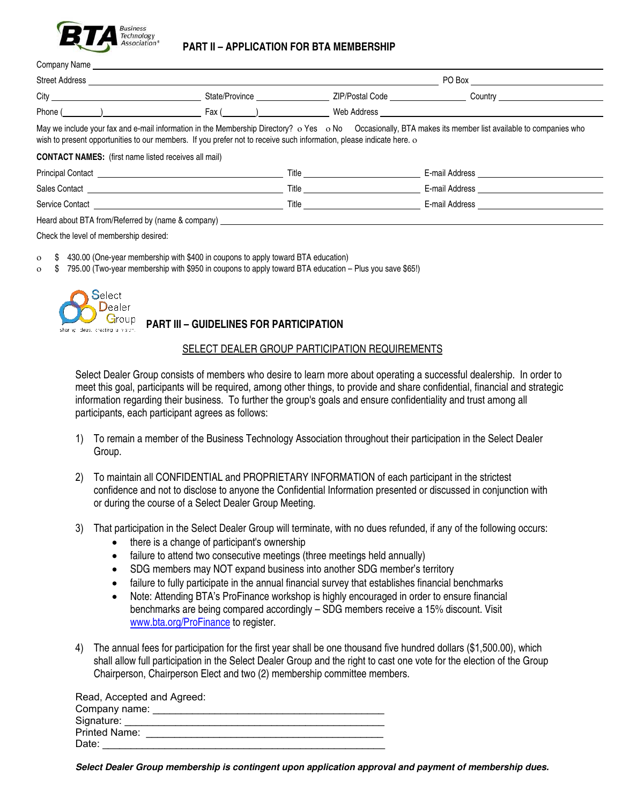

# **PART II – APPLICATION FOR BTA MEMBERSHIP**

| Company Name                                                                                                                                                                                                                                                                      |                |                                   |         |  |
|-----------------------------------------------------------------------------------------------------------------------------------------------------------------------------------------------------------------------------------------------------------------------------------|----------------|-----------------------------------|---------|--|
| <b>Street Address</b>                                                                                                                                                                                                                                                             |                | PO Box                            |         |  |
| City                                                                                                                                                                                                                                                                              | State/Province | ZIP/Postal Code National Services | Country |  |
| Phone (                                                                                                                                                                                                                                                                           | Fax ()         | Web Address                       |         |  |
| May we include your fax and e-mail information in the Membership Directory? o Yes o No Occasionally, BTA makes its member list available to companies who<br>wish to present opportunities to our members. If you prefer not to receive such information, please indicate here. o |                |                                   |         |  |

**CONTACT NAMES:** (first name listed receives all mail)

| <b>Principal Contact</b>                                                                                                                                                                                                                                                                              | Title | E-mail Address |
|-------------------------------------------------------------------------------------------------------------------------------------------------------------------------------------------------------------------------------------------------------------------------------------------------------|-------|----------------|
| <b>Sales Contact</b>                                                                                                                                                                                                                                                                                  | Title | E-mail Address |
| Service Contact                                                                                                                                                                                                                                                                                       | Title | E-mail Address |
| $\frac{1}{2}$ and $\frac{1}{2}$ are $\frac{1}{2}$ and $\frac{1}{2}$ are $\frac{1}{2}$ and $\frac{1}{2}$ are $\frac{1}{2}$ and $\frac{1}{2}$ are $\frac{1}{2}$ and $\frac{1}{2}$ are $\frac{1}{2}$ and $\frac{1}{2}$ are $\frac{1}{2}$ and $\frac{1}{2}$ are $\frac{1}{2}$ and $\frac{1}{2}$ a<br>____ |       |                |

Heard about BTA from/Referred by (name & company)

Check the level of membership desired:

- \$ 430.00 (One-year membership with \$400 in coupons to apply toward BTA education)
- \$ 795.00 (Two-year membership with \$950 in coupons to apply toward BTA education Plus you save \$65!)



# **PART III – GUIDELINES FOR PARTICIPATION**

#### SELECT DEALER GROUP PARTICIPATION REQUIREMENTS

Select Dealer Group consists of members who desire to learn more about operating a successful dealership. In order to meet this goal, participants will be required, among other things, to provide and share confidential, financial and strategic information regarding their business. To further the group's goals and ensure confidentiality and trust among all participants, each participant agrees as follows:

- 1) To remain a member of the Business Technology Association throughout their participation in the Select Dealer Group.
- 2) To maintain all CONFIDENTIAL and PROPRIETARY INFORMATION of each participant in the strictest confidence and not to disclose to anyone the Confidential Information presented or discussed in conjunction with or during the course of a Select Dealer Group Meeting.
- 3) That participation in the Select Dealer Group will terminate, with no dues refunded, if any of the following occurs:
	- there is a change of participant's ownership
	- failure to attend two consecutive meetings (three meetings held annually)
	- SDG members may NOT expand business into another SDG member's territory
	- failure to fully participate in the annual financial survey that establishes financial benchmarks
	- Note: Attending BTA's ProFinance workshop is highly encouraged in order to ensure financial benchmarks are being compared accordingly – SDG members receive a 15% discount. Visit www.bta.org/ProFinance to register.
- 4) The annual fees for participation for the first year shall be one thousand five hundred dollars (\$1,500.00), which shall allow full participation in the Select Dealer Group and the right to cast one vote for the election of the Group Chairperson, Chairperson Elect and two (2) membership committee members.

| Read, Accepted and Agreed: |  |
|----------------------------|--|
| Company name:              |  |
| Signature:                 |  |
| <b>Printed Name:</b>       |  |
| Date:                      |  |

**Select Dealer Group membership is contingent upon application approval and payment of membership dues.**